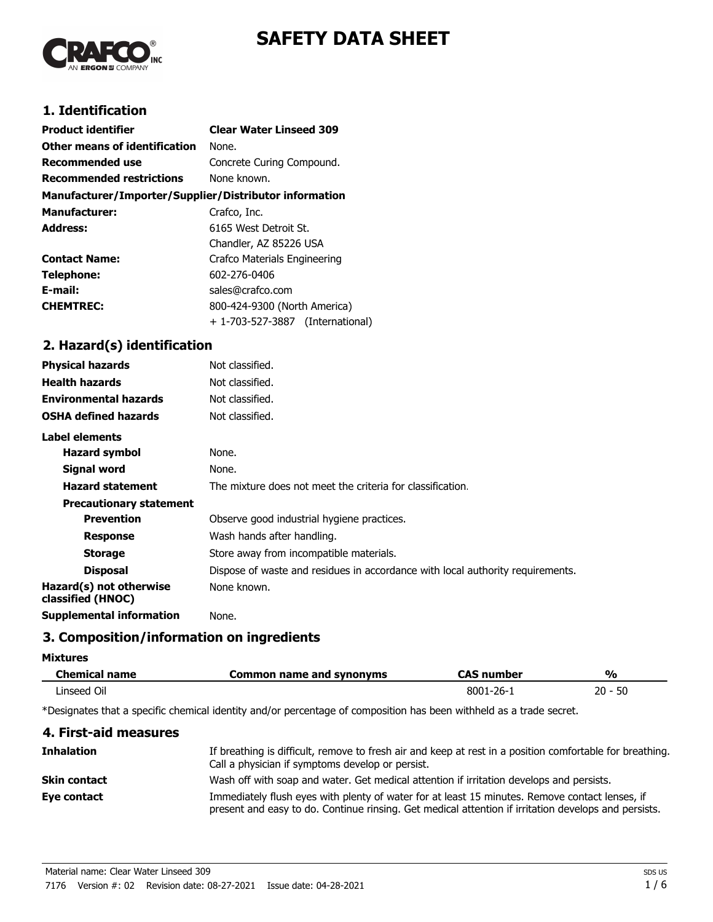# **SAFETY DATA SHEET**



# **1. Identification**

| <b>Product identifier</b>                              | <b>Clear Water Linseed 309</b>   |
|--------------------------------------------------------|----------------------------------|
| Other means of identification                          | None.                            |
| Recommended use                                        | Concrete Curing Compound.        |
| <b>Recommended restrictions</b>                        | None known.                      |
| Manufacturer/Importer/Supplier/Distributor information |                                  |
| <b>Manufacturer:</b>                                   | Crafco, Inc.                     |
| <b>Address:</b>                                        | 6165 West Detroit St.            |
|                                                        | Chandler, AZ 85226 USA           |
| <b>Contact Name:</b>                                   | Crafco Materials Engineering     |
| Telephone:                                             | 602-276-0406                     |
| E-mail:                                                | sales@crafco.com                 |
| <b>CHEMTREC:</b>                                       | 800-424-9300 (North America)     |
|                                                        | + 1-703-527-3887 (International) |

# **2. Hazard(s) identification**

| <b>Physical hazards</b>                      | Not classified.                                                                |
|----------------------------------------------|--------------------------------------------------------------------------------|
| <b>Health hazards</b>                        | Not classified.                                                                |
| <b>Environmental hazards</b>                 | Not classified.                                                                |
| <b>OSHA defined hazards</b>                  | Not classified.                                                                |
| Label elements                               |                                                                                |
| Hazard symbol                                | None.                                                                          |
| Signal word                                  | None.                                                                          |
| <b>Hazard statement</b>                      | The mixture does not meet the criteria for classification.                     |
| <b>Precautionary statement</b>               |                                                                                |
| <b>Prevention</b>                            | Observe good industrial hygiene practices.                                     |
| <b>Response</b>                              | Wash hands after handling.                                                     |
| <b>Storage</b>                               | Store away from incompatible materials.                                        |
| <b>Disposal</b>                              | Dispose of waste and residues in accordance with local authority requirements. |
| Hazard(s) not otherwise<br>classified (HNOC) | None known.                                                                    |
| <b>Supplemental information</b>              | None.                                                                          |

## **3. Composition/information on ingredients**

**Mixtures**

| <b>Chemical name</b> | Common name and synonyms | <b>CAS number</b> | $\frac{1}{2}$ |
|----------------------|--------------------------|-------------------|---------------|
| Linseed Oil          |                          | 8001-26-1         | -50<br>20 -   |

\*Designates that a specific chemical identity and/or percentage of composition has been withheld as a trade secret.

| 4. First-aid measures |                                                                                                                                                                                                        |
|-----------------------|--------------------------------------------------------------------------------------------------------------------------------------------------------------------------------------------------------|
| <b>Inhalation</b>     | If breathing is difficult, remove to fresh air and keep at rest in a position comfortable for breathing.<br>Call a physician if symptoms develop or persist.                                           |
| Skin contact          | Wash off with soap and water. Get medical attention if irritation develops and persists.                                                                                                               |
| Eye contact           | Immediately flush eyes with plenty of water for at least 15 minutes. Remove contact lenses, if<br>present and easy to do. Continue rinsing. Get medical attention if irritation develops and persists. |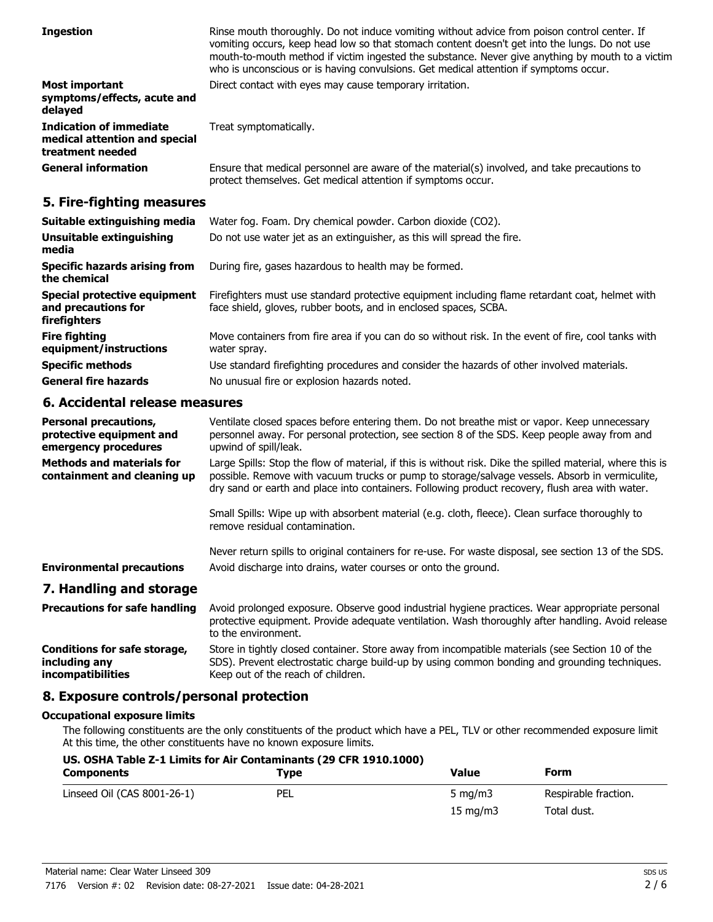| <b>Ingestion</b>                                                                    | Rinse mouth thoroughly. Do not induce vomiting without advice from poison control center. If<br>vomiting occurs, keep head low so that stomach content doesn't get into the lungs. Do not use<br>mouth-to-mouth method if victim ingested the substance. Never give anything by mouth to a victim<br>who is unconscious or is having convulsions. Get medical attention if symptoms occur. |
|-------------------------------------------------------------------------------------|--------------------------------------------------------------------------------------------------------------------------------------------------------------------------------------------------------------------------------------------------------------------------------------------------------------------------------------------------------------------------------------------|
| <b>Most important</b><br>symptoms/effects, acute and<br>delayed                     | Direct contact with eyes may cause temporary irritation.                                                                                                                                                                                                                                                                                                                                   |
| <b>Indication of immediate</b><br>medical attention and special<br>treatment needed | Treat symptomatically.                                                                                                                                                                                                                                                                                                                                                                     |
| <b>General information</b>                                                          | Ensure that medical personnel are aware of the material(s) involved, and take precautions to<br>protect themselves. Get medical attention if symptoms occur.                                                                                                                                                                                                                               |

## **5. Fire-fighting measures**

| Suitable extinguishing media                                        | Water fog. Foam. Dry chemical powder. Carbon dioxide (CO2).                                                                                                         |
|---------------------------------------------------------------------|---------------------------------------------------------------------------------------------------------------------------------------------------------------------|
| Unsuitable extinguishing<br>media                                   | Do not use water jet as an extinguisher, as this will spread the fire.                                                                                              |
| <b>Specific hazards arising from</b><br>the chemical                | During fire, gases hazardous to health may be formed.                                                                                                               |
| Special protective equipment<br>and precautions for<br>firefighters | Firefighters must use standard protective equipment including flame retardant coat, helmet with<br>face shield, gloves, rubber boots, and in enclosed spaces, SCBA. |
| <b>Fire fighting</b><br>equipment/instructions                      | Move containers from fire area if you can do so without risk. In the event of fire, cool tanks with<br>water spray.                                                 |
| <b>Specific methods</b>                                             | Use standard firefighting procedures and consider the hazards of other involved materials.                                                                          |
| <b>General fire hazards</b>                                         | No unusual fire or explosion hazards noted.                                                                                                                         |

## **6. Accidental release measures**

| <b>Personal precautions,</b><br>protective equipment and<br>emergency procedures | Ventilate closed spaces before entering them. Do not breathe mist or vapor. Keep unnecessary<br>personnel away. For personal protection, see section 8 of the SDS. Keep people away from and<br>upwind of spill/leak.                                                                                           |
|----------------------------------------------------------------------------------|-----------------------------------------------------------------------------------------------------------------------------------------------------------------------------------------------------------------------------------------------------------------------------------------------------------------|
| <b>Methods and materials for</b><br>containment and cleaning up                  | Large Spills: Stop the flow of material, if this is without risk. Dike the spilled material, where this is<br>possible. Remove with vacuum trucks or pump to storage/salvage vessels. Absorb in vermiculite,<br>dry sand or earth and place into containers. Following product recovery, flush area with water. |
|                                                                                  | Small Spills: Wipe up with absorbent material (e.g. cloth, fleece). Clean surface thoroughly to<br>remove residual contamination.                                                                                                                                                                               |
| <b>Environmental precautions</b>                                                 | Never return spills to original containers for re-use. For waste disposal, see section 13 of the SDS.<br>Avoid discharge into drains, water courses or onto the ground.                                                                                                                                         |
| 7. Handling and storage                                                          |                                                                                                                                                                                                                                                                                                                 |
| <b>Precautions for safe handling</b>                                             | Avoid prolonged exposure. Observe good industrial hygiene practices. Wear appropriate personal<br>protective equipment. Provide adequate ventilation. Wash thoroughly after handling. Avoid release                                                                                                             |

to the environment. Store in tightly closed container. Store away from incompatible materials (see Section 10 of the SDS). Prevent electrostatic charge build-up by using common bonding and grounding techniques. Keep out of the reach of children. **Conditions for safe storage, including any incompatibilities**

## **8. Exposure controls/personal protection**

#### **Occupational exposure limits**

The following constituents are the only constituents of the product which have a PEL, TLV or other recommended exposure limit At this time, the other constituents have no known exposure limits.

| US. OSHA Table Z-1 Limits for Air Contaminants (29 CFR 1910.1000) |            |                   |                      |
|-------------------------------------------------------------------|------------|-------------------|----------------------|
| <b>Components</b>                                                 | Tvpe       | Value             | Form                 |
| Linseed Oil (CAS 8001-26-1)                                       | <b>PEL</b> | 5 $mq/m3$         | Respirable fraction. |
|                                                                   |            | $15 \text{ mg/m}$ | Total dust.          |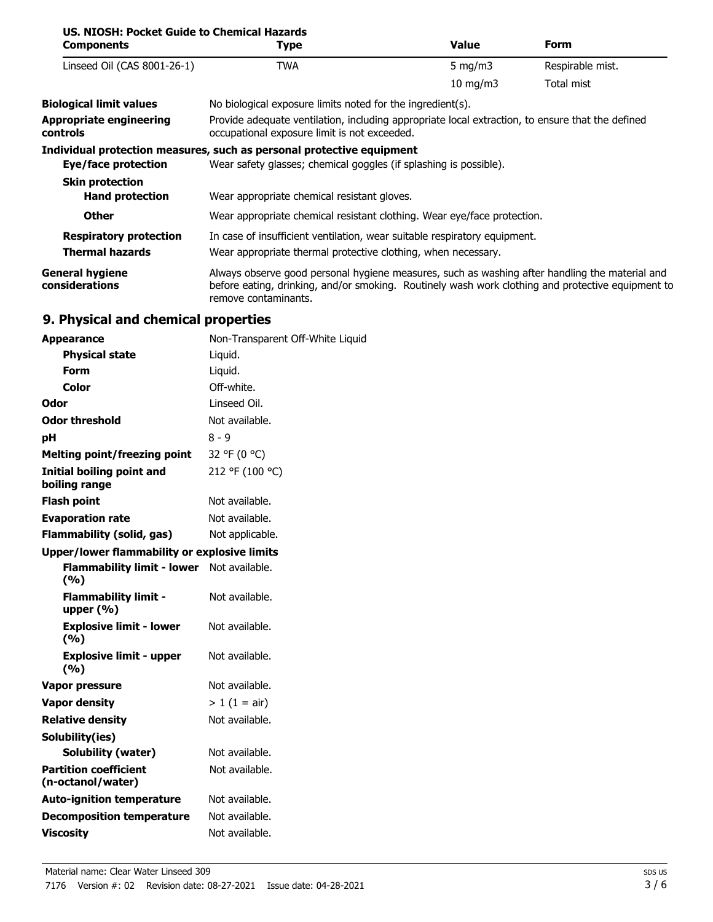| US. NIOSH: Pocket Guide to Chemical Hazards<br><b>Components</b> | Type                                                                                                                                                                                                                        | <b>Value</b> | <b>Form</b>      |
|------------------------------------------------------------------|-----------------------------------------------------------------------------------------------------------------------------------------------------------------------------------------------------------------------------|--------------|------------------|
| Linseed Oil (CAS 8001-26-1)                                      | <b>TWA</b>                                                                                                                                                                                                                  | 5 mg/m $3$   | Respirable mist. |
|                                                                  |                                                                                                                                                                                                                             | 10 mg/m $3$  | Total mist       |
| <b>Biological limit values</b>                                   | No biological exposure limits noted for the ingredient(s).                                                                                                                                                                  |              |                  |
| <b>Appropriate engineering</b><br><b>controls</b>                | Provide adequate ventilation, including appropriate local extraction, to ensure that the defined<br>occupational exposure limit is not exceeded.                                                                            |              |                  |
|                                                                  | Individual protection measures, such as personal protective equipment                                                                                                                                                       |              |                  |
| Eye/face protection                                              | Wear safety glasses; chemical goggles (if splashing is possible).                                                                                                                                                           |              |                  |
| <b>Skin protection</b>                                           |                                                                                                                                                                                                                             |              |                  |
| <b>Hand protection</b>                                           | Wear appropriate chemical resistant gloves.                                                                                                                                                                                 |              |                  |
| <b>Other</b>                                                     | Wear appropriate chemical resistant clothing. Wear eye/face protection.                                                                                                                                                     |              |                  |
| <b>Respiratory protection</b>                                    | In case of insufficient ventilation, wear suitable respiratory equipment.                                                                                                                                                   |              |                  |
| <b>Thermal hazards</b>                                           | Wear appropriate thermal protective clothing, when necessary.                                                                                                                                                               |              |                  |
| <b>General hygiene</b><br>considerations                         | Always observe good personal hygiene measures, such as washing after handling the material and<br>before eating, drinking, and/or smoking. Routinely wash work clothing and protective equipment to<br>remove contaminants. |              |                  |

# **9. Physical and chemical properties**

| <b>Appearance</b>                                   | Non-Transparent Off-White Liquid |
|-----------------------------------------------------|----------------------------------|
| <b>Physical state</b>                               | Liquid.                          |
| Form                                                | Liquid.                          |
| <b>Color</b>                                        | Off-white.                       |
| Odor                                                | Linseed Oil.                     |
| <b>Odor threshold</b>                               | Not available.                   |
| рH                                                  | 8 - 9                            |
| <b>Melting point/freezing point</b>                 | 32 °F (0 °C)                     |
| Initial boiling point and<br>boiling range          | 212 °F (100 °C)                  |
| <b>Flash point</b>                                  | Not available.                   |
| <b>Evaporation rate</b>                             | Not available.                   |
| <b>Flammability (solid, gas)</b>                    | Not applicable.                  |
| <b>Upper/lower flammability or explosive limits</b> |                                  |
| Flammability limit - lower Not available.<br>(%)    |                                  |
| <b>Flammability limit -</b><br>upper $(%)$          | Not available.                   |
| <b>Explosive limit - lower</b><br>(9/6)             | Not available.                   |
| <b>Explosive limit - upper</b><br>(9/6)             | Not available.                   |
| <b>Vapor pressure</b>                               | Not available.                   |
| <b>Vapor density</b>                                | $> 1$ (1 = air)                  |
| <b>Relative density</b>                             | Not available.                   |
| Solubility(ies)                                     |                                  |
| <b>Solubility (water)</b>                           | Not available.                   |
| <b>Partition coefficient</b><br>(n-octanol/water)   | Not available.                   |
| <b>Auto-ignition temperature</b>                    | Not available.                   |
| <b>Decomposition temperature</b>                    | Not available.                   |
| <b>Viscosity</b>                                    | Not available.                   |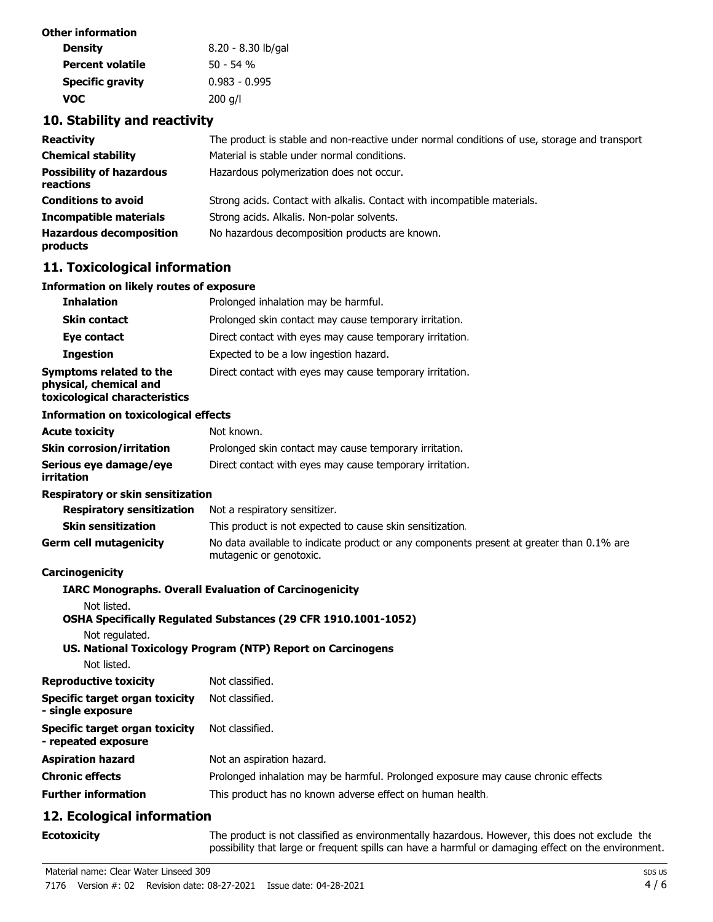| Other information       |                    |
|-------------------------|--------------------|
| <b>Density</b>          | 8.20 - 8.30 lb/gal |
| <b>Percent volatile</b> | $50 - 54$ %        |
| <b>Specific gravity</b> | $0.983 - 0.995$    |
| voc                     | $200$ g/l          |

## **10. Stability and reactivity**

| <b>Reactivity</b>                            | The product is stable and non-reactive under normal conditions of use, storage and transport |
|----------------------------------------------|----------------------------------------------------------------------------------------------|
| <b>Chemical stability</b>                    | Material is stable under normal conditions.                                                  |
| <b>Possibility of hazardous</b><br>reactions | Hazardous polymerization does not occur.                                                     |
| <b>Conditions to avoid</b>                   | Strong acids. Contact with alkalis. Contact with incompatible materials.                     |
| <b>Incompatible materials</b>                | Strong acids. Alkalis. Non-polar solvents.                                                   |
| <b>Hazardous decomposition</b><br>products   | No hazardous decomposition products are known.                                               |

## **11. Toxicological information**

#### **Information on likely routes of exposure**

| <b>Inhalation</b>                                                                  | Prolonged inhalation may be harmful.                     |
|------------------------------------------------------------------------------------|----------------------------------------------------------|
| <b>Skin contact</b>                                                                | Prolonged skin contact may cause temporary irritation.   |
| Eye contact                                                                        | Direct contact with eyes may cause temporary irritation. |
| <b>Ingestion</b>                                                                   | Expected to be a low ingestion hazard.                   |
| Symptoms related to the<br>physical, chemical and<br>toxicological characteristics | Direct contact with eyes may cause temporary irritation. |

#### **Information on toxicological effects**

| <b>Acute toxicity</b>                | Not known.                                               |
|--------------------------------------|----------------------------------------------------------|
| <b>Skin corrosion/irritation</b>     | Prolonged skin contact may cause temporary irritation.   |
| Serious eye damage/eye<br>irritation | Direct contact with eyes may cause temporary irritation. |

#### **Respiratory or skin sensitization**

| <b>Respiratory sensitization</b> | Not a respiratory sensitizer.                                                                                       |
|----------------------------------|---------------------------------------------------------------------------------------------------------------------|
| <b>Skin sensitization</b>        | This product is not expected to cause skin sensitization.                                                           |
| <b>Germ cell mutagenicity</b>    | No data available to indicate product or any components present at greater than 0.1% are<br>mutagenic or genotoxic. |

## **Carcinogenicity**

|                                                       | <b>IARC Monographs. Overall Evaluation of Carcinogenicity</b>                     |
|-------------------------------------------------------|-----------------------------------------------------------------------------------|
| Not listed.                                           |                                                                                   |
|                                                       | <b>OSHA Specifically Regulated Substances (29 CFR 1910.1001-1052)</b>             |
| Not regulated.                                        |                                                                                   |
|                                                       | US. National Toxicology Program (NTP) Report on Carcinogens                       |
| Not listed.                                           |                                                                                   |
| Reproductive toxicity                                 | Not classified.                                                                   |
| Specific target organ toxicity<br>- single exposure   | Not classified.                                                                   |
| Specific target organ toxicity<br>- repeated exposure | Not classified.                                                                   |
| Aspiration hazard                                     | Not an aspiration hazard.                                                         |
| Chronic effects                                       | Prolonged inhalation may be harmful. Prolonged exposure may cause chronic effects |
| <b>Further information</b>                            | This product has no known adverse effect on human health.                         |

# **12. Ecological information**

**Ecotoxicity**

The product is not classified as environmentally hazardous. However, this does not exclude the possibility that large or frequent spills can have a harmful or damaging effect on the environment.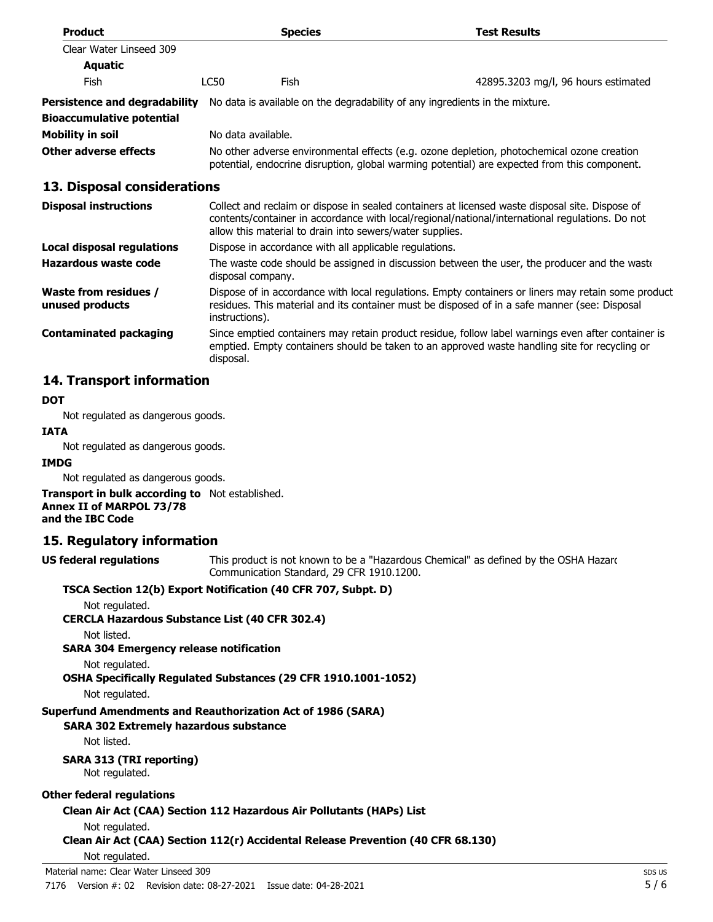| <b>Product</b>                           |                                                                                                                                                                                                                                                                | <b>Species</b>                                                               | <b>Test Results</b>                                                                          |
|------------------------------------------|----------------------------------------------------------------------------------------------------------------------------------------------------------------------------------------------------------------------------------------------------------------|------------------------------------------------------------------------------|----------------------------------------------------------------------------------------------|
| Clear Water Linseed 309                  |                                                                                                                                                                                                                                                                |                                                                              |                                                                                              |
| <b>Aquatic</b>                           |                                                                                                                                                                                                                                                                |                                                                              |                                                                                              |
| <b>Fish</b>                              | LC50<br><b>Fish</b>                                                                                                                                                                                                                                            |                                                                              | 42895.3203 mg/l, 96 hours estimated                                                          |
| <b>Persistence and degradability</b>     |                                                                                                                                                                                                                                                                | No data is available on the degradability of any ingredients in the mixture. |                                                                                              |
| <b>Bioaccumulative potential</b>         |                                                                                                                                                                                                                                                                |                                                                              |                                                                                              |
| <b>Mobility in soil</b>                  | No data available.                                                                                                                                                                                                                                             |                                                                              |                                                                                              |
| Other adverse effects                    | No other adverse environmental effects (e.g. ozone depletion, photochemical ozone creation<br>potential, endocrine disruption, global warming potential) are expected from this component.                                                                     |                                                                              |                                                                                              |
| 13. Disposal considerations              |                                                                                                                                                                                                                                                                |                                                                              |                                                                                              |
| <b>Disposal instructions</b>             | Collect and reclaim or dispose in sealed containers at licensed waste disposal site. Dispose of<br>contents/container in accordance with local/regional/national/international regulations. Do not<br>allow this material to drain into sewers/water supplies. |                                                                              |                                                                                              |
| Local disposal regulations               | Dispose in accordance with all applicable regulations.                                                                                                                                                                                                         |                                                                              |                                                                                              |
| Hazardous waste code                     | disposal company.                                                                                                                                                                                                                                              |                                                                              | The waste code should be assigned in discussion between the user, the producer and the waste |
| Waste from residues /<br>unused products | Dispose of in accordance with local regulations. Empty containers or liners may retain some product<br>residues. This material and its container must be disposed of in a safe manner (see: Disposal<br>instructions).                                         |                                                                              |                                                                                              |

Since emptied containers may retain product residue, follow label warnings even after container is emptied. Empty containers should be taken to an approved waste handling site for recycling or disposal. **Contaminated packaging**

## **14. Transport information**

#### **DOT**

Not regulated as dangerous goods.

#### **IATA**

Not regulated as dangerous goods.

#### **IMDG**

Not regulated as dangerous goods.

**Transport in bulk according to** Not established. **Annex II of MARPOL 73/78 and the IBC Code**

## **15. Regulatory information**

**US federal regulations**

This product is not known to be a "Hazardous Chemical" as defined by the OSHA Hazard Communication Standard, 29 CFR 1910.1200.

#### **TSCA Section 12(b) Export Notification (40 CFR 707, Subpt. D)**

Not regulated.

**CERCLA Hazardous Substance List (40 CFR 302.4)**

Not listed.

#### **SARA 304 Emergency release notification**

Not regulated.

**OSHA Specifically Regulated Substances (29 CFR 1910.1001-1052)**

Not regulated.

## **Superfund Amendments and Reauthorization Act of 1986 (SARA)**

**SARA 302 Extremely hazardous substance**

Not listed.

## **SARA 313 (TRI reporting)**

Not regulated.

## **Other federal regulations**

## **Clean Air Act (CAA) Section 112 Hazardous Air Pollutants (HAPs) List**

Not regulated.

```
Clean Air Act (CAA) Section 112(r) Accidental Release Prevention (40 CFR 68.130)
```

```
Not regulated.
```